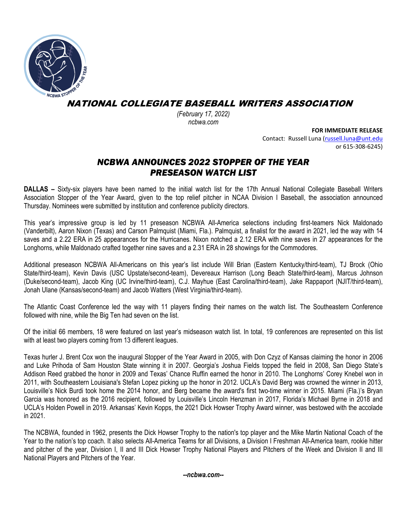

NATIONAL COLLEGIATE BASEBALL WRITERS ASSOCIATION

*(February 17, 2022) ncbwa.com* 

**FOR IMMEDIATE RELEASE**

Contact: Russell Luna (russell.luna@unt.edu or 615‐308‐6245)

## *NCBWA ANNOUNCES 2022 STOPPER OF THE YEAR PRESEASON WATCH LIST*

**DALLAS –** Sixty-six players have been named to the initial watch list for the 17th Annual National Collegiate Baseball Writers Association Stopper of the Year Award, given to the top relief pitcher in NCAA Division I Baseball, the association announced Thursday. Nominees were submitted by institution and conference publicity directors.

This year's impressive group is led by 11 preseason NCBWA All-America selections including first-teamers Nick Maldonado (Vanderbilt), Aaron Nixon (Texas) and Carson Palmquist (Miami, Fla.). Palmquist, a finalist for the award in 2021, led the way with 14 saves and a 2.22 ERA in 25 appearances for the Hurricanes. Nixon notched a 2.12 ERA with nine saves in 27 appearances for the Longhorns, while Maldonado crafted together nine saves and a 2.31 ERA in 28 showings for the Commodores.

Additional preseason NCBWA All-Americans on this year's list include Will Brian (Eastern Kentucky/third-team), TJ Brock (Ohio State/third-team), Kevin Davis (USC Upstate/second-team), Devereaux Harrison (Long Beach State/third-team), Marcus Johnson (Duke/second-team), Jacob King (UC Irvine/third-team), C.J. Mayhue (East Carolina/third-team), Jake Rappaport (NJIT/third-team), Jonah Ulane (Kansas/second-team) and Jacob Watters (West Virginia/third-team).

The Atlantic Coast Conference led the way with 11 players finding their names on the watch list. The Southeastern Conference followed with nine, while the Big Ten had seven on the list.

Of the initial 66 members, 18 were featured on last year's midseason watch list. In total, 19 conferences are represented on this list with at least two players coming from 13 different leagues.

Texas hurler J. Brent Cox won the inaugural Stopper of the Year Award in 2005, with Don Czyz of Kansas claiming the honor in 2006 and Luke Prihoda of Sam Houston State winning it in 2007. Georgia's Joshua Fields topped the field in 2008, San Diego State's Addison Reed grabbed the honor in 2009 and Texas' Chance Ruffin earned the honor in 2010. The Longhorns' Corey Knebel won in 2011, with Southeastern Louisiana's Stefan Lopez picking up the honor in 2012. UCLA's David Berg was crowned the winner in 2013, Louisville's Nick Burdi took home the 2014 honor, and Berg became the award's first two-time winner in 2015. Miami (Fla.)'s Bryan Garcia was honored as the 2016 recipient, followed by Louisville's Lincoln Henzman in 2017, Florida's Michael Byrne in 2018 and UCLA's Holden Powell in 2019. Arkansas' Kevin Kopps, the 2021 Dick Howser Trophy Award winner, was bestowed with the accolade in 2021.

The NCBWA, founded in 1962, presents the Dick Howser Trophy to the nation's top player and the Mike Martin National Coach of the Year to the nation's top coach. It also selects All-America Teams for all Divisions, a Division I Freshman All-America team, rookie hitter and pitcher of the year, Division I, II and III Dick Howser Trophy National Players and Pitchers of the Week and Division II and III National Players and Pitchers of the Year.

*--ncbwa.com--*